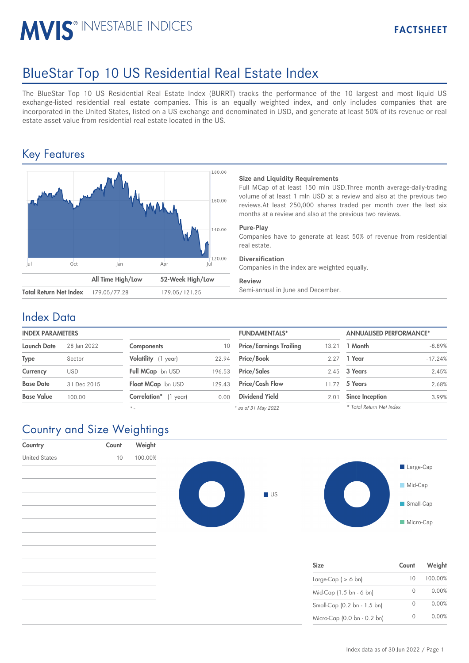# MVIS<sup>®</sup> INVESTABLE INDICES

# BlueStar Top 10 US Residential Real Estate Index

The BlueStar Top 10 US Residential Real Estate Index (BURRT) tracks the performance of the 10 largest and most liquid US exchange-listed residential real estate companies. This is an equally weighted index, and only includes companies that are incorporated in the United States, listed on a US exchange and denominated in USD, and generate at least 50% of its revenue or real estate asset value from residential real estate located in the US.

## Key Features



## **Size and Liquidity Requirements**

Full MCap of at least 150 mln USD.Three month average-daily-trading volume of at least 1 mln USD at a review and also at the previous two reviews.At least 250,000 shares traded per month over the last six months at a review and also at the previous two reviews.

### **Pure-Play**

Companies have to generate at least 50% of revenue from residential real estate.

### **Diversification**

Companies in the index are weighted equally.

#### **Review**

## Index Data

| <b>INDEX PARAMETERS</b> |             |                            |        | <b>FUNDAMENTALS*</b>           |       | <b>ANNUALISED PERFORMANCE*</b> |  |
|-------------------------|-------------|----------------------------|--------|--------------------------------|-------|--------------------------------|--|
| <b>Launch Date</b>      | 28 Ian 2022 | <b>Components</b>          | 10     | <b>Price/Earnings Trailing</b> | 13.21 | 1 Month                        |  |
| <b>Type</b>             | Sector      | Volatility (1 year)        | 22.94  | <b>Price/Book</b>              | 2.27  | 1 Year                         |  |
| Currency                | <b>USD</b>  | Full MCap bn USD           | 196.53 | <b>Price/Sales</b>             |       | 2.45 3 Years                   |  |
| <b>Base Date</b>        | 31 Dec 2015 | Float MCap bn USD          | 129.43 | <b>Price/Cash Flow</b>         | 11.72 | 5 Years                        |  |
| <b>Base Value</b>       | 100.00      | Correlation*<br>$(1$ year) | 0.00   | <b>Dividend Yield</b>          | 2.01  | Since Inception                |  |

*\* -*

| <b>FUNDAMENTALS*</b>           |       | <b>ANNUALISED PERFORMANCE*</b> |           |  |
|--------------------------------|-------|--------------------------------|-----------|--|
| <b>Price/Earnings Trailing</b> | 13.21 | 1 Month                        | $-8.89%$  |  |
| Price/Book                     | 2.27  | 1 Year                         | $-17.24%$ |  |
| <b>Price/Sales</b>             | 2.45  | 3 Years                        | 2.45%     |  |
| <b>Price/Cash Flow</b>         | 11.72 | 5 Years                        | 2.68%     |  |
| <b>Dividend Yield</b>          | 2.01  | <b>Since Inception</b>         | 3.99%     |  |
| $3c$ of 31 May 2022            |       | * Total Return Net Index       |           |  |

*\* as of 31 May 2022*

# Country and Size Weightings